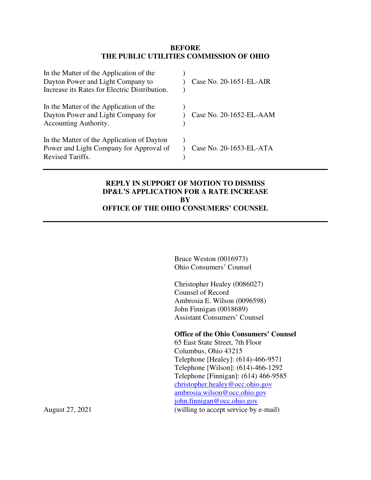#### **BEFORE THE PUBLIC UTILITIES COMMISSION OF OHIO**

| In the Matter of the Application of the<br>Dayton Power and Light Company to<br>Increase its Rates for Electric Distribution. | Case No. 20-1651-EL-AIR |
|-------------------------------------------------------------------------------------------------------------------------------|-------------------------|
| In the Matter of the Application of the<br>Dayton Power and Light Company for<br>Accounting Authority.                        | Case No. 20-1652-EL-AAM |
| In the Matter of the Application of Dayton<br>Power and Light Company for Approval of<br>Revised Tariffs.                     | Case No. 20-1653-EL-ATA |

## **REPLY IN SUPPORT OF MOTION TO DISMISS DP&L'S APPLICATION FOR A RATE INCREASE BY OFFICE OF THE OHIO CONSUMERS' COUNSEL**

Bruce Weston (0016973) Ohio Consumers' Counsel

Christopher Healey (0086027) Counsel of Record Ambrosia E. Wilson (0096598) John Finnigan (0018689) Assistant Consumers' Counsel

#### **Office of the Ohio Consumers' Counsel**

 65 East State Street, 7th Floor Columbus, Ohio 43215 Telephone [Healey]: (614)-466-9571 Telephone [Wilson]: (614)-466-1292 Telephone [Finnigan]: (614) 466-9585 christopher.healey@occ.ohio.gov ambrosia.wilson@occ.ohio.gov john.finnigan@occ.ohio.gov August 27, 2021 (willing to accept service by e-mail)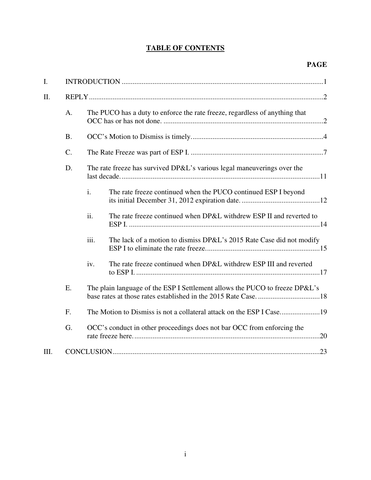# **TABLE OF CONTENTS**

| I.   |           |                                                                             |                                                                             |  |  |  |  |
|------|-----------|-----------------------------------------------------------------------------|-----------------------------------------------------------------------------|--|--|--|--|
| II.  |           |                                                                             |                                                                             |  |  |  |  |
|      | A.        | The PUCO has a duty to enforce the rate freeze, regardless of anything that |                                                                             |  |  |  |  |
|      | <b>B.</b> |                                                                             |                                                                             |  |  |  |  |
|      | $C$ .     |                                                                             |                                                                             |  |  |  |  |
|      | D.        | The rate freeze has survived DP&L's various legal maneuverings over the     |                                                                             |  |  |  |  |
|      |           | $\mathbf{i}$ .                                                              | The rate freeze continued when the PUCO continued ESP I beyond              |  |  |  |  |
|      |           | ii.                                                                         | The rate freeze continued when DP&L withdrew ESP II and reverted to         |  |  |  |  |
|      |           | iii.                                                                        | The lack of a motion to dismiss DP&L's 2015 Rate Case did not modify        |  |  |  |  |
|      |           | iv.                                                                         | The rate freeze continued when DP&L withdrew ESP III and reverted           |  |  |  |  |
|      | E.        |                                                                             | The plain language of the ESP I Settlement allows the PUCO to freeze DP&L's |  |  |  |  |
|      | F.        |                                                                             |                                                                             |  |  |  |  |
|      | G.        |                                                                             | OCC's conduct in other proceedings does not bar OCC from enforcing the      |  |  |  |  |
| III. |           |                                                                             |                                                                             |  |  |  |  |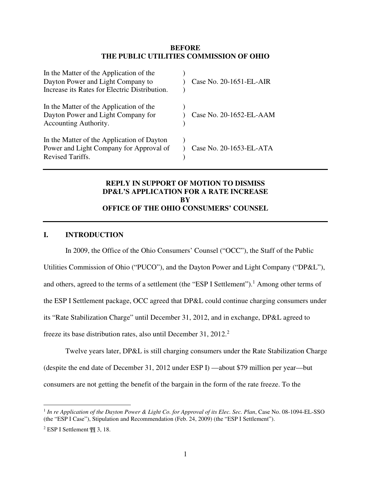#### **BEFORE THE PUBLIC UTILITIES COMMISSION OF OHIO**

| In the Matter of the Application of the<br>Dayton Power and Light Company to<br>Increase its Rates for Electric Distribution. | Case No. 20-1651-EL-AIR |
|-------------------------------------------------------------------------------------------------------------------------------|-------------------------|
| In the Matter of the Application of the<br>Dayton Power and Light Company for<br>Accounting Authority.                        | Case No. 20-1652-EL-AAM |
| In the Matter of the Application of Dayton<br>Power and Light Company for Approval of<br>Revised Tariffs.                     | Case No. 20-1653-EL-ATA |

## **REPLY IN SUPPORT OF MOTION TO DISMISS DP&L'S APPLICATION FOR A RATE INCREASE BY OFFICE OF THE OHIO CONSUMERS' COUNSEL**

#### **I. INTRODUCTION**

In 2009, the Office of the Ohio Consumers' Counsel ("OCC"), the Staff of the Public Utilities Commission of Ohio ("PUCO"), and the Dayton Power and Light Company ("DP&L"), and others, agreed to the terms of a settlement (the "ESP I Settlement").<sup>1</sup> Among other terms of the ESP I Settlement package, OCC agreed that DP&L could continue charging consumers under its "Rate Stabilization Charge" until December 31, 2012, and in exchange, DP&L agreed to freeze its base distribution rates, also until December 31, 2012.<sup>2</sup>

Twelve years later, DP&L is still charging consumers under the Rate Stabilization Charge (despite the end date of December 31, 2012 under ESP I) —about \$79 million per year—but consumers are not getting the benefit of the bargain in the form of the rate freeze. To the

<sup>1</sup> *In re Application of the Dayton Power & Light Co. for Approval of its Elec. Sec. Plan*, Case No. 08-1094-EL-SSO (the "ESP I Case"), Stipulation and Recommendation (Feb. 24, 2009) (the "ESP I Settlement").

<sup>2</sup> ESP I Settlement ¶¶ 3, 18.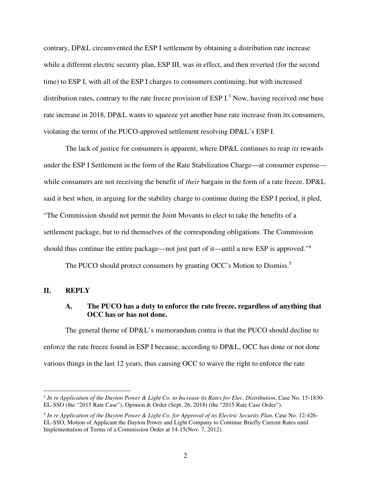contrary, DP&L circumvented the ESP I settlement by obtaining a distribution rate increase while a different electric security plan, ESP III, was in effect, and then reverted (for the second time) to ESP I, with all of the ESP I charges to consumers continuing, but with increased distribution rates, contrary to the rate freeze provision of ESP  $I<sup>3</sup>$  Now, having received one base rate increase in 2018, DP&L wants to squeeze yet another base rate increase from its consumers, violating the terms of the PUCO-approved settlement resolving DP&L's ESP I.

The lack of justice for consumers is apparent, where DP&L continues to reap *its* rewards under the ESP I Settlement in the form of the Rate Stabilization Charge—at consumer expense while consumers are not receiving the benefit of *their* bargain in the form of a rate freeze. DP&L said it best when, in arguing for the stability charge to continue during the ESP I period, it pled, "The Commission should not permit the Joint Movants to elect to take the benefits of a settlement package, but to rid themselves of the corresponding obligations. The Commission should thus continue the entire package—not just part of it—until a new ESP is approved."<sup>4</sup>

The PUCO should protect consumers by granting OCC's Motion to Dismiss.<sup>5</sup>

#### **II. REPLY**

#### **A. The PUCO has a duty to enforce the rate freeze, regardless of anything that OCC has or has not done.**

The general theme of DP&L's memorandum contra is that the PUCO should decline to enforce the rate freeze found in ESP I because, according to DP&L, OCC has done or not done various things in the last 12 years, thus causing OCC to waive the right to enforce the rate

<sup>3</sup> *In re Application of the Dayton Power & Light Co. to Increase its Rates for Elec. Distribution*, Case No. 15-1830- EL-SSO (the "2015 Rate Case"), Opinion & Order (Sept. 26, 2018) (the "2015 Rate Case Order").

<sup>4</sup> *In re Application of the Dayton Power & Light Co. for Approval of its Electric Security Plan*, Case No. 12-426- EL-SSO, Motion of Applicant the Dayton Power and Light Company to Continue Briefly Current Rates until Implementation of Terms of a Commission Order at 14-15(Nov. 7, 2012).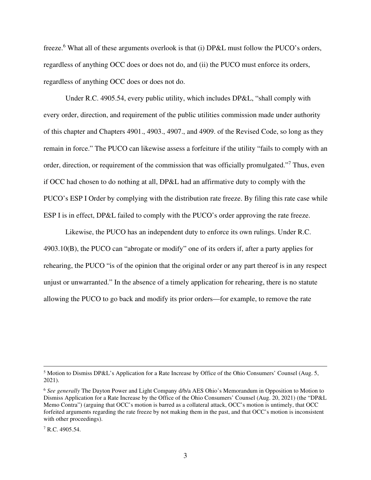freeze.<sup>6</sup> What all of these arguments overlook is that (i) DP&L must follow the PUCO's orders, regardless of anything OCC does or does not do, and (ii) the PUCO must enforce its orders, regardless of anything OCC does or does not do.

Under R.C. 4905.54, every public utility, which includes DP&L, "shall comply with every order, direction, and requirement of the public utilities commission made under authority of this chapter and Chapters 4901., 4903., 4907., and 4909. of the Revised Code, so long as they remain in force." The PUCO can likewise assess a forfeiture if the utility "fails to comply with an order, direction, or requirement of the commission that was officially promulgated."<sup>7</sup> Thus, even if OCC had chosen to do nothing at all, DP&L had an affirmative duty to comply with the PUCO's ESP I Order by complying with the distribution rate freeze. By filing this rate case while ESP I is in effect, DP&L failed to comply with the PUCO's order approving the rate freeze.

Likewise, the PUCO has an independent duty to enforce its own rulings. Under R.C. 4903.10(B), the PUCO can "abrogate or modify" one of its orders if, after a party applies for rehearing, the PUCO "is of the opinion that the original order or any part thereof is in any respect unjust or unwarranted." In the absence of a timely application for rehearing, there is no statute allowing the PUCO to go back and modify its prior orders—for example, to remove the rate

<sup>&</sup>lt;sup>5</sup> Motion to Dismiss DP&L's Application for a Rate Increase by Office of the Ohio Consumers' Counsel (Aug. 5, 2021).

<sup>6</sup> *See generally* The Dayton Power and Light Company d/b/a AES Ohio's Memorandum in Opposition to Motion to Dismiss Application for a Rate Increase by the Office of the Ohio Consumers' Counsel (Aug. 20, 2021) (the "DP&L Memo Contra") (arguing that OCC's motion is barred as a collateral attack, OCC's motion is untimely, that OCC forfeited arguments regarding the rate freeze by not making them in the past, and that OCC's motion is inconsistent with other proceedings).

 $7$  R.C. 4905.54.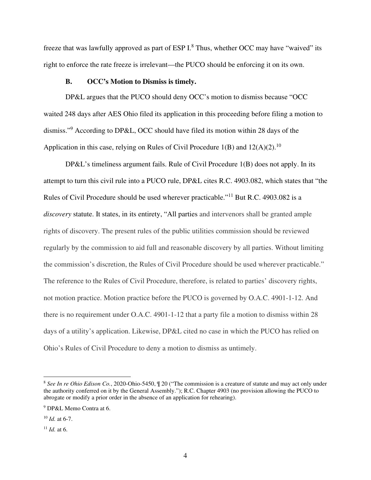freeze that was lawfully approved as part of ESP  $I$ .<sup>8</sup> Thus, whether OCC may have "waived" its right to enforce the rate freeze is irrelevant—the PUCO should be enforcing it on its own.

#### **B. OCC's Motion to Dismiss is timely.**

DP&L argues that the PUCO should deny OCC's motion to dismiss because "OCC waited 248 days after AES Ohio filed its application in this proceeding before filing a motion to dismiss."<sup>9</sup> According to DP&L, OCC should have filed its motion within 28 days of the Application in this case, relying on Rules of Civil Procedure  $1(B)$  and  $12(A)(2)$ .<sup>10</sup>

DP&L's timeliness argument fails. Rule of Civil Procedure 1(B) does not apply. In its attempt to turn this civil rule into a PUCO rule, DP&L cites R.C. 4903.082, which states that "the Rules of Civil Procedure should be used wherever practicable."<sup>11</sup> But R.C. 4903.082 is a *discovery* statute. It states, in its entirety, "All parties and intervenors shall be granted ample rights of discovery. The present rules of the public utilities commission should be reviewed regularly by the commission to aid full and reasonable discovery by all parties. Without limiting the commission's discretion, the Rules of Civil Procedure should be used wherever practicable." The reference to the Rules of Civil Procedure, therefore, is related to parties' discovery rights, not motion practice. Motion practice before the PUCO is governed by O.A.C. 4901-1-12. And there is no requirement under O.A.C. 4901-1-12 that a party file a motion to dismiss within 28 days of a utility's application. Likewise, DP&L cited no case in which the PUCO has relied on Ohio's Rules of Civil Procedure to deny a motion to dismiss as untimely.

<sup>8</sup> *See In re Ohio Edison Co.*, 2020-Ohio-5450, ¶ 20 ("The commission is a creature of statute and may act only under the authority conferred on it by the General Assembly."); R.C. Chapter 4903 (no provision allowing the PUCO to abrogate or modify a prior order in the absence of an application for rehearing).

<sup>9</sup> DP&L Memo Contra at 6.

<sup>10</sup> *Id.* at 6-7.

 $11$  *Id.* at 6.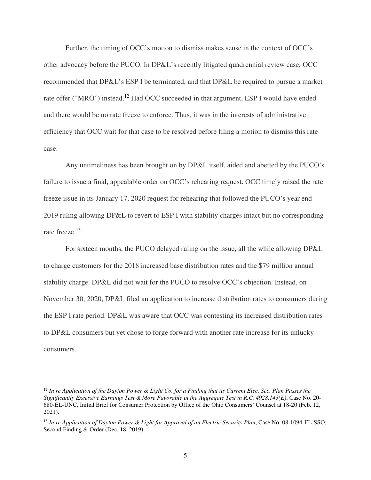Further, the timing of OCC's motion to dismiss makes sense in the context of OCC's other advocacy before the PUCO. In DP&L's recently litigated quadrennial review case, OCC recommended that DP&L's ESP I be terminated, and that DP&L be required to pursue a market rate offer ("MRO") instead.<sup>12</sup> Had OCC succeeded in that argument, ESP I would have ended and there would be no rate freeze to enforce. Thus, it was in the interests of administrative efficiency that OCC wait for that case to be resolved before filing a motion to dismiss this rate case.

Any untimeliness has been brought on by DP&L itself, aided and abetted by the PUCO's failure to issue a final, appealable order on OCC's rehearing request. OCC timely raised the rate freeze issue in its January 17, 2020 request for rehearing that followed the PUCO's year end 2019 ruling allowing DP&L to revert to ESP I with stability charges intact but no corresponding rate freeze.<sup>13</sup>

For sixteen months, the PUCO delayed ruling on the issue, all the while allowing DP&L to charge customers for the 2018 increased base distribution rates and the \$79 million annual stability charge. DP&L did not wait for the PUCO to resolve OCC's objection. Instead, on November 30, 2020, DP&L filed an application to increase distribution rates to consumers during the ESP I rate period. DP&L was aware that OCC was contesting its increased distribution rates to DP&L consumers but yet chose to forge forward with another rate increase for its unlucky consumers.

<sup>12</sup> *In re Application of the Dayton Power & Light Co. for a Finding that its Current Elec. Sec. Plan Passes the Significantly Excessive Earnings Test & More Favorable in the Aggregate Test in R.C. 4928.143(E)*, Case No. 20- 680-EL-UNC, Initial Brief for Consumer Protection by Office of the Ohio Consumers' Counsel at 18-20 (Feb. 12, 2021).

<sup>13</sup> *In re Application of Dayton Power & Light for Approval of an Electric Security Plan*, Case No. 08-1094-EL-SSO, Second Finding & Order (Dec. 18, 2019).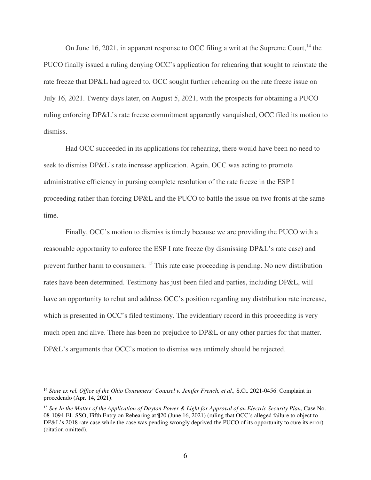On June 16, 2021, in apparent response to OCC filing a writ at the Supreme Court,  $^{14}$  the PUCO finally issued a ruling denying OCC's application for rehearing that sought to reinstate the rate freeze that DP&L had agreed to. OCC sought further rehearing on the rate freeze issue on July 16, 2021. Twenty days later, on August 5, 2021, with the prospects for obtaining a PUCO ruling enforcing DP&L's rate freeze commitment apparently vanquished, OCC filed its motion to dismiss.

Had OCC succeeded in its applications for rehearing, there would have been no need to seek to dismiss DP&L's rate increase application. Again, OCC was acting to promote administrative efficiency in pursing complete resolution of the rate freeze in the ESP I proceeding rather than forcing DP&L and the PUCO to battle the issue on two fronts at the same time.

Finally, OCC's motion to dismiss is timely because we are providing the PUCO with a reasonable opportunity to enforce the ESP I rate freeze (by dismissing DP&L's rate case) and prevent further harm to consumers. <sup>15</sup> This rate case proceeding is pending. No new distribution rates have been determined. Testimony has just been filed and parties, including DP&L, will have an opportunity to rebut and address OCC's position regarding any distribution rate increase, which is presented in OCC's filed testimony. The evidentiary record in this proceeding is very much open and alive. There has been no prejudice to DP&L or any other parties for that matter. DP&L's arguments that OCC's motion to dismiss was untimely should be rejected.

<sup>&</sup>lt;sup>14</sup> State ex rel. Office of the Ohio Consumers' Counsel v. Jenifer French, et al., S.Ct. 2021-0456. Complaint in procedendo (Apr. 14, 2021).

<sup>15</sup> *See In the Matter of the Application of Dayton Power & Light for Approval of an Electric Security Plan*, Case No. 08-1094-EL-SSO, Fifth Entry on Rehearing at ¶20 (June 16, 2021) (ruling that OCC's alleged failure to object to DP&L's 2018 rate case while the case was pending wrongly deprived the PUCO of its opportunity to cure its error). (citation omitted).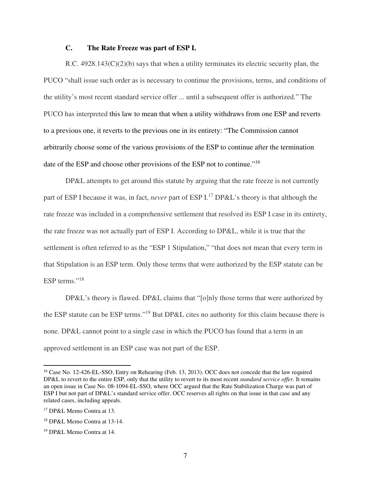#### **C. The Rate Freeze was part of ESP I.**

R.C.  $4928.143(C)(2)(b)$  says that when a utility terminates its electric security plan, the PUCO "shall issue such order as is necessary to continue the provisions, terms, and conditions of the utility's most recent standard service offer ... until a subsequent offer is authorized." The PUCO has interpreted this law to mean that when a utility withdraws from one ESP and reverts to a previous one, it reverts to the previous one in its entirety: "The Commission cannot arbitrarily choose some of the various provisions of the ESP to continue after the termination date of the ESP and choose other provisions of the ESP not to continue."<sup>16</sup>

DP&L attempts to get around this statute by arguing that the rate freeze is not currently part of ESP I because it was, in fact, *never* part of ESP I.<sup>17</sup> DP&L's theory is that although the rate freeze was included in a comprehensive settlement that resolved its ESP I case in its entirety, the rate freeze was not actually part of ESP I. According to DP&L, while it is true that the settlement is often referred to as the "ESP 1 Stipulation," "that does not mean that every term in that Stipulation is an ESP term. Only those terms that were authorized by the ESP statute can be ESP terms."<sup>18</sup>

DP&L's theory is flawed. DP&L claims that "[o]nly those terms that were authorized by the ESP statute can be ESP terms."<sup>19</sup> But DP&L cites no authority for this claim because there is none. DP&L cannot point to a single case in which the PUCO has found that a term in an approved settlement in an ESP case was not part of the ESP.

<sup>&</sup>lt;sup>16</sup> Case No. 12-426-EL-SSO, Entry on Rehearing (Feb. 13, 2013). OCC does not concede that the law required DP&L to revert to the entire ESP, only that the utility to revert to its most recent *standard service offer*. It remains an open issue in Case No. 08-1094-EL-SSO, where OCC argued that the Rate Stabilization Charge was part of ESP I but not part of DP&L's standard service offer. OCC reserves all rights on that issue in that case and any related cases, including appeals.

<sup>17</sup> DP&L Memo Contra at 13.

<sup>18</sup> DP&L Memo Contra at 13-14.

<sup>19</sup> DP&L Memo Contra at 14.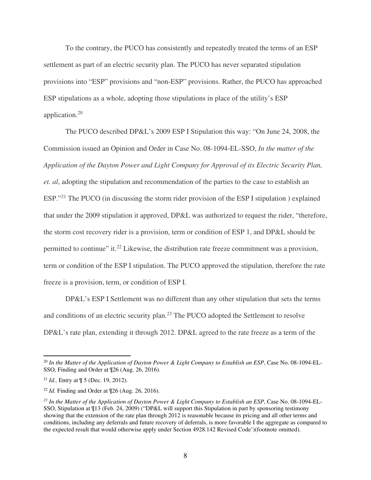To the contrary, the PUCO has consistently and repeatedly treated the terms of an ESP settlement as part of an electric security plan. The PUCO has never separated stipulation provisions into "ESP" provisions and "non-ESP" provisions. Rather, the PUCO has approached ESP stipulations as a whole, adopting those stipulations in place of the utility's ESP application.<sup>20</sup>

The PUCO described DP&L's 2009 ESP I Stipulation this way: "On June 24, 2008, the Commission issued an Opinion and Order in Case No. 08-1094-EL-SSO, *In the matter of the Application of the Dayton Power and Light Company for Approval of its Electric Security Plan, et. al*, adopting the stipulation and recommendation of the parties to the case to establish an ESP."<sup>21</sup> The PUCO (in discussing the storm rider provision of the ESP I stipulation) explained that under the 2009 stipulation it approved, DP&L was authorized to request the rider, "therefore, the storm cost recovery rider is a provision, term or condition of ESP 1, and DP&L should be permitted to continue" it.<sup>22</sup> Likewise, the distribution rate freeze commitment was a provision, term or condition of the ESP I stipulation. The PUCO approved the stipulation, therefore the rate freeze is a provision, term, or condition of ESP I.

DP&L's ESP I Settlement was no different than any other stipulation that sets the terms and conditions of an electric security plan.<sup>23</sup> The PUCO adopted the Settlement to resolve DP&L's rate plan, extending it through 2012. DP&L agreed to the rate freeze as a term of the

<sup>20</sup> *In the Matter of the Application of Dayton Power & Light Company to Establish an ESP*, Case No. 08-1094-EL-SSO, Finding and Order at ¶26 (Aug. 26, 2016).

<sup>21</sup> *Id.,* Entry at ¶ 5 (Dec. 19, 2012).

<sup>22</sup> *Id.* Finding and Order at ¶26 (Aug. 26, 2016).

*<sup>23</sup> In the Matter of the Application of Dayton Power & Light Company to Establish an ESP*, Case No. 08-1094-EL-SSO, Stipulation at ¶13 (Feb. 24, 2009) ("DP&L will support this Stipulation in part by sponsoring testimony showing that the extension of the rate plan through 2012 is reasonable because its pricing and all other terms and conditions, including any deferrals and future recovery of deferrals, is more favorable I the aggregate as compared to the expected result that would otherwise apply under Section 4928.142 Revised Code')(footnote omitted).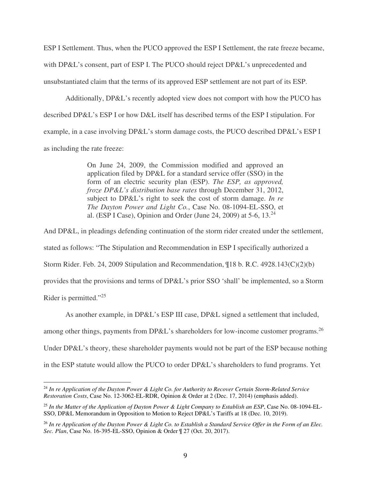ESP I Settlement. Thus, when the PUCO approved the ESP I Settlement, the rate freeze became, with DP&L's consent, part of ESP I. The PUCO should reject DP&L's unprecedented and unsubstantiated claim that the terms of its approved ESP settlement are not part of its ESP.

Additionally, DP&L's recently adopted view does not comport with how the PUCO has described DP&L's ESP I or how D&L itself has described terms of the ESP I stipulation. For example, in a case involving DP&L's storm damage costs, the PUCO described DP&L's ESP I as including the rate freeze:

> On June 24, 2009, the Commission modified and approved an application filed by DP&L for a standard service offer (SSO) in the form of an electric security plan (ESP). *The ESP, as approved, froze DP&L's distribution base rates* through December 31, 2012, subject to DP&L's right to seek the cost of storm damage. *In re The Dayton Power and Light Co.*, Case No. 08-1094-EL-SSO, et al. (ESP I Case), Opinion and Order (June 24, 2009) at 5-6,  $13.^{24}$

And DP&L, in pleadings defending continuation of the storm rider created under the settlement, stated as follows: "The Stipulation and Recommendation in ESP I specifically authorized a Storm Rider. Feb. 24, 2009 Stipulation and Recommendation, ¶18 b. R.C. 4928.143(C)(2)(b) provides that the provisions and terms of DP&L's prior SSO 'shall' be implemented, so a Storm Rider is permitted."<sup>25</sup>

As another example, in DP&L's ESP III case, DP&L signed a settlement that included,

among other things, payments from DP&L's shareholders for low-income customer programs.<sup>26</sup>

Under DP&L's theory, these shareholder payments would not be part of the ESP because nothing

in the ESP statute would allow the PUCO to order DP&L's shareholders to fund programs. Yet

<sup>24</sup> *In re Application of the Dayton Power & Light Co. for Authority to Recover Certain Storm-Related Service Restoration Costs*, Case No. 12-3062-EL-RDR, Opinion & Order at 2 (Dec. 17, 2014) (emphasis added).

<sup>25</sup> *In the Matter of the Application of Dayton Power & Light Company to Establish an ESP*, Case No. 08-1094-EL-SSO, DP&L Memorandum in Opposition to Motion to Reject DP&L's Tariffs at 18 (Dec. 10, 2019).

<sup>26</sup> *In re Application of the Dayton Power & Light Co. to Establish a Standard Service Offer in the Form of an Elec. Sec. Plan*, Case No. 16-395-EL-SSO, Opinion & Order ¶ 27 (Oct. 20, 2017).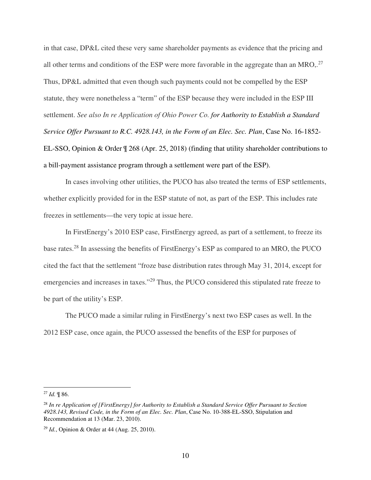in that case, DP&L cited these very same shareholder payments as evidence that the pricing and all other terms and conditions of the ESP were more favorable in the aggregate than an MRO,.<sup>27</sup> Thus, DP&L admitted that even though such payments could not be compelled by the ESP statute, they were nonetheless a "term" of the ESP because they were included in the ESP III settlement. *See also In re Application of Ohio Power Co. for Authority to Establish a Standard Service Offer Pursuant to R.C. 4928.143, in the Form of an Elec. Sec. Plan*, Case No. 16-1852- EL-SSO, Opinion & Order ¶ 268 (Apr. 25, 2018) (finding that utility shareholder contributions to a bill-payment assistance program through a settlement were part of the ESP).

In cases involving other utilities, the PUCO has also treated the terms of ESP settlements, whether explicitly provided for in the ESP statute of not, as part of the ESP. This includes rate freezes in settlements—the very topic at issue here.

In FirstEnergy's 2010 ESP case, FirstEnergy agreed, as part of a settlement, to freeze its base rates.<sup>28</sup> In assessing the benefits of FirstEnergy's ESP as compared to an MRO, the PUCO cited the fact that the settlement "froze base distribution rates through May 31, 2014, except for emergencies and increases in taxes."<sup>29</sup> Thus, the PUCO considered this stipulated rate freeze to be part of the utility's ESP.

The PUCO made a similar ruling in FirstEnergy's next two ESP cases as well. In the 2012 ESP case, once again, the PUCO assessed the benefits of the ESP for purposes of

<sup>27</sup> *Id.* ¶ 86.

<sup>28</sup> *In re Application of [FirstEnergy] for Authority to Establish a Standard Service Offer Pursuant to Section 4928.143, Revised Code, in the Form of an Elec. Sec. Plan*, Case No. 10-388-EL-SSO, Stipulation and Recommendation at 13 (Mar. 23, 2010).

<sup>29</sup> *Id.*, Opinion & Order at 44 (Aug. 25, 2010).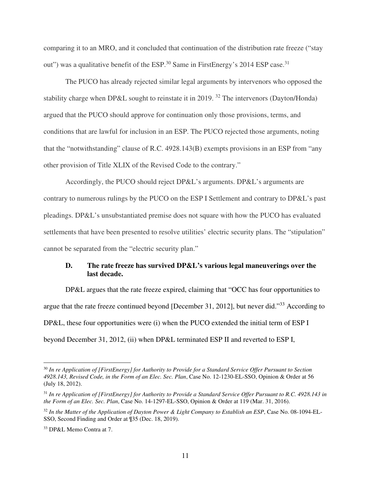comparing it to an MRO, and it concluded that continuation of the distribution rate freeze ("stay out") was a qualitative benefit of the ESP.<sup>30</sup> Same in FirstEnergy's 2014 ESP case.<sup>31</sup>

The PUCO has already rejected similar legal arguments by intervenors who opposed the stability charge when DP&L sought to reinstate it in 2019.<sup>32</sup> The intervenors (Dayton/Honda) argued that the PUCO should approve for continuation only those provisions, terms, and conditions that are lawful for inclusion in an ESP. The PUCO rejected those arguments, noting that the "notwithstanding" clause of R.C. 4928.143(B) exempts provisions in an ESP from "any other provision of Title XLIX of the Revised Code to the contrary."

Accordingly, the PUCO should reject DP&L's arguments. DP&L's arguments are contrary to numerous rulings by the PUCO on the ESP I Settlement and contrary to DP&L's past pleadings. DP&L's unsubstantiated premise does not square with how the PUCO has evaluated settlements that have been presented to resolve utilities' electric security plans. The "stipulation" cannot be separated from the "electric security plan."

### **D. The rate freeze has survived DP&L's various legal maneuverings over the last decade.**

DP&L argues that the rate freeze expired, claiming that "OCC has four opportunities to argue that the rate freeze continued beyond [December 31, 2012], but never did."<sup>33</sup> According to DP&L, these four opportunities were (i) when the PUCO extended the initial term of ESP I beyond December 31, 2012, (ii) when DP&L terminated ESP II and reverted to ESP I,

<sup>30</sup> *In re Application of [FirstEnergy] for Authority to Provide for a Standard Service Offer Pursuant to Section 4928.143, Revised Code, in the Form of an Elec. Sec. Plan*, Case No. 12-1230-EL-SSO, Opinion & Order at 56 (July 18, 2012).

<sup>31</sup> *In re Application of [FirstEnergy] for Authority to Provide a Standard Service Offer Pursuant to R.C. 4928.143 in the Form of an Elec. Sec. Plan*, Case No. 14-1297-EL-SSO, Opinion & Order at 119 (Mar. 31, 2016).

<sup>32</sup> *In the Matter of the Application of Dayton Power & Light Company to Establish an ESP*, Case No. 08-1094-EL-SSO, Second Finding and Order at ¶35 (Dec. 18, 2019).

<sup>33</sup> DP&L Memo Contra at 7.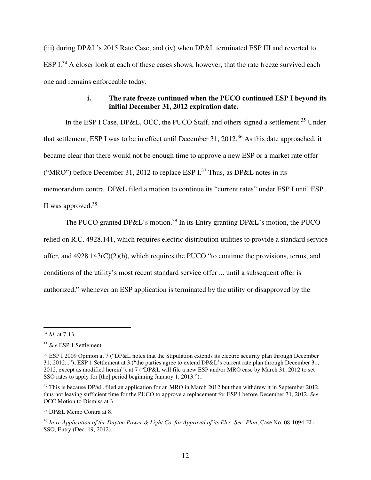(iii) during DP&L's 2015 Rate Case, and (iv) when DP&L terminated ESP III and reverted to ESP I.<sup>34</sup> A closer look at each of these cases shows, however, that the rate freeze survived each one and remains enforceable today.

### **i. The rate freeze continued when the PUCO continued ESP I beyond its initial December 31, 2012 expiration date.**

In the ESP I Case, DP&L, OCC, the PUCO Staff, and others signed a settlement.<sup>35</sup> Under that settlement, ESP I was to be in effect until December 31, 2012.<sup>36</sup> As this date approached, it became clear that there would not be enough time to approve a new ESP or a market rate offer ("MRO") before December 31, 2012 to replace ESP  $I^{37}$  Thus, as DP&L notes in its memorandum contra, DP&L filed a motion to continue its "current rates" under ESP I until ESP II was approved. $38$ 

The PUCO granted DP&L's motion.<sup>39</sup> In its Entry granting DP&L's motion, the PUCO

relied on R.C. 4928.141, which requires electric distribution utilities to provide a standard service

offer, and  $4928.143(C)(2)(b)$ , which requires the PUCO "to continue the provisions, terms, and

conditions of the utility's most recent standard service offer ... until a subsequent offer is

authorized," whenever an ESP application is terminated by the utility or disapproved by the

<sup>34</sup> *Id.* at 7-13.

<sup>35</sup> *See* ESP 1 Settlement.

<sup>&</sup>lt;sup>36</sup> ESP I 2009 Opinion at 7 ("DP&L notes that the Stipulation extends its electric security plan through December 31, 2012..."); ESP 1 Settlement at 3 ("the parties agree to extend DP&L's current rate plan through December 31, 2012, except as modified herein"), at 7 ("DP&L will file a new ESP and/or MRO case by March 31, 2012 to set SSO rates to apply for [the] period beginning January 1, 2013.").

<sup>&</sup>lt;sup>37</sup> This is because DP&L filed an application for an MRO in March 2012 but then withdrew it in September 2012, thus not leaving sufficient time for the PUCO to approve a replacement for ESP I before December 31, 2012. *See* OCC Motion to Dismiss at 3.

<sup>38</sup> DP&L Memo Contra at 8.

<sup>39</sup> *In re Application of the Dayton Power & Light Co. for Approval of its Elec. Sec. Plan*, Case No. 08-1094-EL-SSO, Entry (Dec. 19, 2012).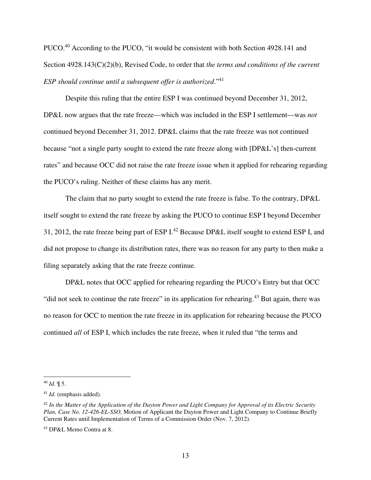PUCO.<sup>40</sup> According to the PUCO, "it would be consistent with both Section 4928.141 and Section 4928.143(C)(2)(b), Revised Code, to order that *the terms and conditions of the current ESP should continue until a subsequent offer is authorized*."<sup>41</sup>

Despite this ruling that the entire ESP I was continued beyond December 31, 2012, DP&L now argues that the rate freeze—which was included in the ESP I settlement—was *not* continued beyond December 31, 2012. DP&L claims that the rate freeze was not continued because "not a single party sought to extend the rate freeze along with [DP&L's] then-current rates" and because OCC did not raise the rate freeze issue when it applied for rehearing regarding the PUCO's ruling. Neither of these claims has any merit.

The claim that no party sought to extend the rate freeze is false. To the contrary, DP&L itself sought to extend the rate freeze by asking the PUCO to continue ESP I beyond December 31, 2012, the rate freeze being part of ESP I.<sup>42</sup> Because DP&L itself sought to extend ESP I, and did not propose to change its distribution rates, there was no reason for any party to then make a filing separately asking that the rate freeze continue.

DP&L notes that OCC applied for rehearing regarding the PUCO's Entry but that OCC "did not seek to continue the rate freeze" in its application for rehearing.<sup>43</sup> But again, there was no reason for OCC to mention the rate freeze in its application for rehearing because the PUCO continued *all* of ESP I, which includes the rate freeze, when it ruled that "the terms and

<sup>40</sup> *Id.* ¶ 5.

<sup>41</sup> *Id.* (emphasis added).

<sup>42</sup> *In the Matter of the Application of the Dayton Power and Light Company for Approval of its Electric Security Plan, Case No. 12-426-EL-SSO,* Motion of Applicant the Dayton Power and Light Company to Continue Briefly Current Rates until Implementation of Terms of a Commission Order (Nov. 7, 2012).

<sup>43</sup> DP&L Memo Contra at 8.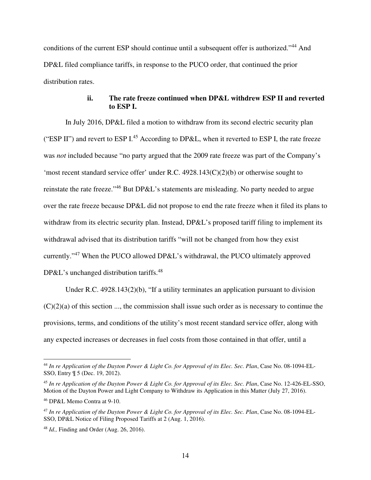conditions of the current ESP should continue until a subsequent offer is authorized."<sup>44</sup> And DP&L filed compliance tariffs, in response to the PUCO order, that continued the prior distribution rates.

#### **ii. The rate freeze continued when DP&L withdrew ESP II and reverted to ESP I.**

In July 2016, DP&L filed a motion to withdraw from its second electric security plan ("ESP II") and revert to ESP I.<sup>45</sup> According to DP&L, when it reverted to ESP I, the rate freeze was *not* included because "no party argued that the 2009 rate freeze was part of the Company's 'most recent standard service offer' under R.C. 4928.143(C)(2)(b) or otherwise sought to reinstate the rate freeze."<sup>46</sup> But DP&L's statements are misleading. No party needed to argue over the rate freeze because DP&L did not propose to end the rate freeze when it filed its plans to withdraw from its electric security plan. Instead, DP&L's proposed tariff filing to implement its withdrawal advised that its distribution tariffs "will not be changed from how they exist currently."<sup>47</sup> When the PUCO allowed DP&L's withdrawal, the PUCO ultimately approved DP&L's unchanged distribution tariffs. $48$ 

Under R.C. 4928.143(2)(b), "If a utility terminates an application pursuant to division  $(C)(2)(a)$  of this section ..., the commission shall issue such order as is necessary to continue the provisions, terms, and conditions of the utility's most recent standard service offer, along with any expected increases or decreases in fuel costs from those contained in that offer, until a

<sup>44</sup> *In re Application of the Dayton Power & Light Co. for Approval of its Elec. Sec. Plan*, Case No. 08-1094-EL-SSO, Entry ¶ 5 (Dec. 19, 2012).

<sup>45</sup> *In re Application of the Dayton Power & Light Co. for Approval of its Elec. Sec. Plan*, Case No. 12-426-EL-SSO, Motion of the Dayton Power and Light Company to Withdraw its Application in this Matter (July 27, 2016).

<sup>46</sup> DP&L Memo Contra at 9-10.

<sup>47</sup> *In re Application of the Dayton Power & Light Co. for Approval of its Elec. Sec. Plan*, Case No. 08-1094-EL-SSO, DP&L Notice of Filing Proposed Tariffs at 2 (Aug. 1, 2016).

<sup>48</sup> *Id.,* Finding and Order (Aug. 26, 2016).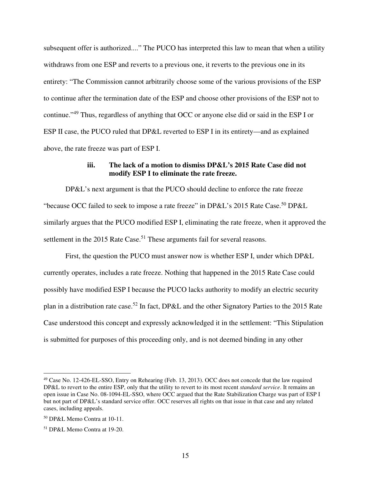subsequent offer is authorized...." The PUCO has interpreted this law to mean that when a utility withdraws from one ESP and reverts to a previous one, it reverts to the previous one in its entirety: "The Commission cannot arbitrarily choose some of the various provisions of the ESP to continue after the termination date of the ESP and choose other provisions of the ESP not to continue."<sup>49</sup> Thus, regardless of anything that OCC or anyone else did or said in the ESP I or ESP II case, the PUCO ruled that DP&L reverted to ESP I in its entirety—and as explained above, the rate freeze was part of ESP I.

#### **iii. The lack of a motion to dismiss DP&L's 2015 Rate Case did not modify ESP I to eliminate the rate freeze.**

DP&L's next argument is that the PUCO should decline to enforce the rate freeze "because OCC failed to seek to impose a rate freeze" in DP&L's 2015 Rate Case.<sup>50</sup> DP&L similarly argues that the PUCO modified ESP I, eliminating the rate freeze, when it approved the settlement in the 2015 Rate Case.<sup>51</sup> These arguments fail for several reasons.

First, the question the PUCO must answer now is whether ESP I, under which DP&L currently operates, includes a rate freeze. Nothing that happened in the 2015 Rate Case could possibly have modified ESP I because the PUCO lacks authority to modify an electric security plan in a distribution rate case.<sup>52</sup> In fact, DP&L and the other Signatory Parties to the 2015 Rate Case understood this concept and expressly acknowledged it in the settlement: "This Stipulation is submitted for purposes of this proceeding only, and is not deemed binding in any other

<sup>&</sup>lt;sup>49</sup> Case No. 12-426-EL-SSO, Entry on Rehearing (Feb. 13, 2013). OCC does not concede that the law required DP&L to revert to the entire ESP, only that the utility to revert to its most recent *standard service*. It remains an open issue in Case No. 08-1094-EL-SSO, where OCC argued that the Rate Stabilization Charge was part of ESP I but not part of DP&L's standard service offer. OCC reserves all rights on that issue in that case and any related cases, including appeals.

<sup>50</sup> DP&L Memo Contra at 10-11.

<sup>51</sup> DP&L Memo Contra at 19-20.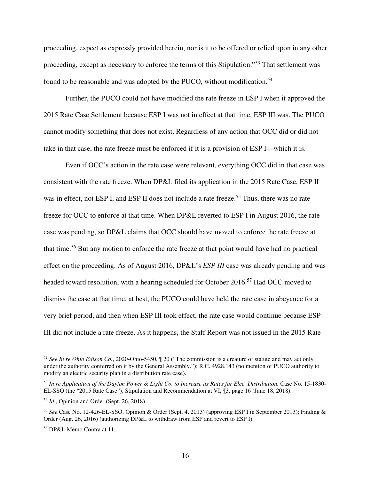proceeding, expect as expressly provided herein, nor is it to be offered or relied upon in any other proceeding, except as necessary to enforce the terms of this Stipulation."<sup>53</sup> That settlement was found to be reasonable and was adopted by the PUCO, without modification.<sup>54</sup>

Further, the PUCO could not have modified the rate freeze in ESP I when it approved the 2015 Rate Case Settlement because ESP I was not in effect at that time, ESP III was. The PUCO cannot modify something that does not exist. Regardless of any action that OCC did or did not take in that case, the rate freeze must be enforced if it is a provision of ESP I—which it is.

Even if OCC's action in the rate case were relevant, everything OCC did in that case was consistent with the rate freeze. When DP&L filed its application in the 2015 Rate Case, ESP II was in effect, not ESP I, and ESP II does not include a rate freeze.<sup>55</sup> Thus, there was no rate freeze for OCC to enforce at that time. When DP&L reverted to ESP I in August 2016, the rate case was pending, so DP&L claims that OCC should have moved to enforce the rate freeze at that time.<sup>56</sup> But any motion to enforce the rate freeze at that point would have had no practical effect on the proceeding. As of August 2016, DP&L's *ESP III* case was already pending and was headed toward resolution, with a hearing scheduled for October 2016.<sup>57</sup> Had OCC moved to dismiss the case at that time, at best, the PUCO could have held the rate case in abeyance for a very brief period, and then when ESP III took effect, the rate case would continue because ESP III did not include a rate freeze. As it happens, the Staff Report was not issued in the 2015 Rate

<sup>52</sup> *See In re Ohio Edison Co.*, 2020-Ohio-5450, ¶ 20 ("The commission is a creature of statute and may act only under the authority conferred on it by the General Assembly."); R.C. 4928.143 (no mention of PUCO authority to modify an electric security plan in a distribution rate case).

<sup>53</sup> *In re Application of the Dayton Power & Light Co. to Increase its Rates for Elec. Distribution,* Case No. 15-1830- EL-SSO (the "2015 Rate Case"), Stipulation and Recommendation at VI, ¶3, page 16 (June 18, 2018).

<sup>54</sup> *Id*., Opinion and Order (Sept. 26, 2018).

<sup>55</sup> *See* Case No. 12-426-EL-SSO, Opinion & Order (Sept. 4, 2013) (approving ESP I in September 2013); Finding & Order (Aug. 26, 2016) (authorizing DP&L to withdraw from ESP and revert to ESP I).

<sup>56</sup> DP&L Memo Contra at 11.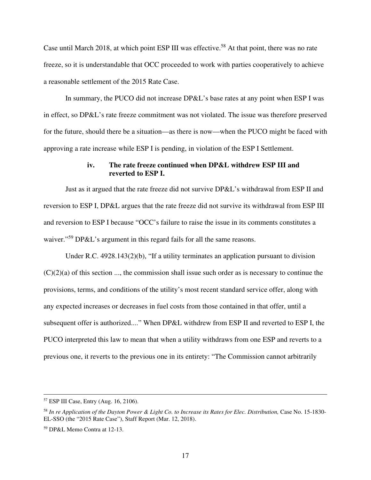Case until March 2018, at which point ESP III was effective.<sup>58</sup> At that point, there was no rate freeze, so it is understandable that OCC proceeded to work with parties cooperatively to achieve a reasonable settlement of the 2015 Rate Case.

In summary, the PUCO did not increase DP&L's base rates at any point when ESP I was in effect, so DP&L's rate freeze commitment was not violated. The issue was therefore preserved for the future, should there be a situation—as there is now—when the PUCO might be faced with approving a rate increase while ESP I is pending, in violation of the ESP I Settlement.

#### **iv. The rate freeze continued when DP&L withdrew ESP III and reverted to ESP I.**

Just as it argued that the rate freeze did not survive DP&L's withdrawal from ESP II and reversion to ESP I, DP&L argues that the rate freeze did not survive its withdrawal from ESP III and reversion to ESP I because "OCC's failure to raise the issue in its comments constitutes a waiver."<sup>59</sup> DP&L's argument in this regard fails for all the same reasons.

Under R.C.  $4928.143(2)(b)$ , "If a utility terminates an application pursuant to division  $(C)(2)(a)$  of this section ..., the commission shall issue such order as is necessary to continue the provisions, terms, and conditions of the utility's most recent standard service offer, along with any expected increases or decreases in fuel costs from those contained in that offer, until a subsequent offer is authorized...." When DP&L withdrew from ESP II and reverted to ESP I, the PUCO interpreted this law to mean that when a utility withdraws from one ESP and reverts to a previous one, it reverts to the previous one in its entirety: "The Commission cannot arbitrarily

<sup>57</sup> ESP III Case, Entry (Aug. 16, 2106).

<sup>58</sup> *In re Application of the Dayton Power & Light Co. to Increase its Rates for Elec. Distribution,* Case No. 15-1830- EL-SSO (the "2015 Rate Case"), Staff Report (Mar. 12, 2018).

<sup>59</sup> DP&L Memo Contra at 12-13.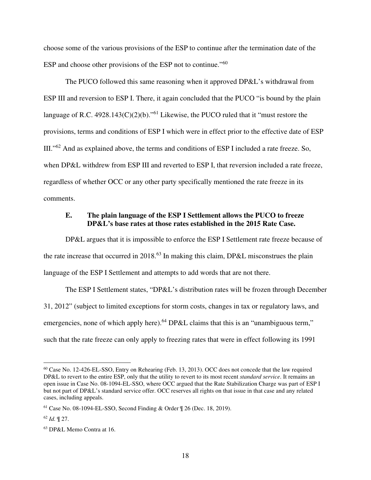choose some of the various provisions of the ESP to continue after the termination date of the ESP and choose other provisions of the ESP not to continue."<sup>60</sup>

The PUCO followed this same reasoning when it approved DP&L's withdrawal from ESP III and reversion to ESP I. There, it again concluded that the PUCO "is bound by the plain language of R.C. 4928.143(C)(2)(b)."<sup>61</sup> Likewise, the PUCO ruled that it "must restore the provisions, terms and conditions of ESP I which were in effect prior to the effective date of ESP III."<sup>62</sup> And as explained above, the terms and conditions of ESP I included a rate freeze. So, when DP&L withdrew from ESP III and reverted to ESP I, that reversion included a rate freeze, regardless of whether OCC or any other party specifically mentioned the rate freeze in its comments.

#### **E. The plain language of the ESP I Settlement allows the PUCO to freeze DP&L's base rates at those rates established in the 2015 Rate Case.**

DP&L argues that it is impossible to enforce the ESP I Settlement rate freeze because of the rate increase that occurred in 2018.<sup>63</sup> In making this claim, DP&L misconstrues the plain language of the ESP I Settlement and attempts to add words that are not there.

The ESP I Settlement states, "DP&L's distribution rates will be frozen through December 31, 2012" (subject to limited exceptions for storm costs, changes in tax or regulatory laws, and emergencies, none of which apply here).<sup>64</sup> DP&L claims that this is an "unambiguous term," such that the rate freeze can only apply to freezing rates that were in effect following its 1991

<sup>60</sup> Case No. 12-426-EL-SSO, Entry on Rehearing (Feb. 13, 2013). OCC does not concede that the law required DP&L to revert to the entire ESP, only that the utility to revert to its most recent *standard service*. It remains an open issue in Case No. 08-1094-EL-SSO, where OCC argued that the Rate Stabilization Charge was part of ESP I but not part of DP&L's standard service offer. OCC reserves all rights on that issue in that case and any related cases, including appeals.

<sup>61</sup> Case No. 08-1094-EL-SSO, Second Finding & Order ¶ 26 (Dec. 18, 2019).

 $62$  *Id.*  $\P$  27.

<sup>63</sup> DP&L Memo Contra at 16.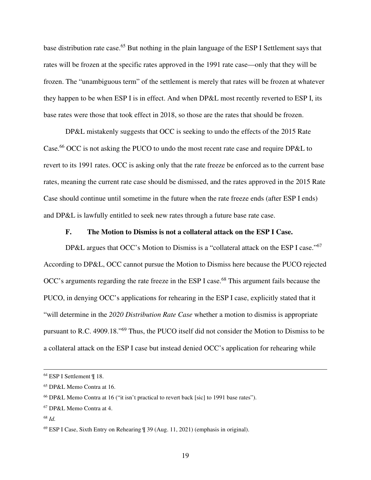base distribution rate case.<sup>65</sup> But nothing in the plain language of the ESP I Settlement says that rates will be frozen at the specific rates approved in the 1991 rate case—only that they will be frozen. The "unambiguous term" of the settlement is merely that rates will be frozen at whatever they happen to be when ESP I is in effect. And when DP&L most recently reverted to ESP I, its base rates were those that took effect in 2018, so those are the rates that should be frozen.

DP&L mistakenly suggests that OCC is seeking to undo the effects of the 2015 Rate Case.<sup>66</sup> OCC is not asking the PUCO to undo the most recent rate case and require DP&L to revert to its 1991 rates. OCC is asking only that the rate freeze be enforced as to the current base rates, meaning the current rate case should be dismissed, and the rates approved in the 2015 Rate Case should continue until sometime in the future when the rate freeze ends (after ESP I ends) and DP&L is lawfully entitled to seek new rates through a future base rate case.

#### **F. The Motion to Dismiss is not a collateral attack on the ESP I Case.**

DP&L argues that OCC's Motion to Dismiss is a "collateral attack on the ESP I case."<sup>67</sup> According to DP&L, OCC cannot pursue the Motion to Dismiss here because the PUCO rejected OCC's arguments regarding the rate freeze in the ESP I case.<sup>68</sup> This argument fails because the PUCO, in denying OCC's applications for rehearing in the ESP I case, explicitly stated that it "will determine in the *2020 Distribution Rate Case* whether a motion to dismiss is appropriate pursuant to R.C. 4909.18."<sup>69</sup> Thus, the PUCO itself did not consider the Motion to Dismiss to be a collateral attack on the ESP I case but instead denied OCC's application for rehearing while

<sup>64</sup> ESP I Settlement ¶ 18.

<sup>65</sup> DP&L Memo Contra at 16.

<sup>66</sup> DP&L Memo Contra at 16 ("it isn't practical to revert back [sic] to 1991 base rates").

<sup>67</sup> DP&L Memo Contra at 4.

<sup>68</sup> *Id.*

<sup>69</sup> ESP I Case, Sixth Entry on Rehearing ¶ 39 (Aug. 11, 2021) (emphasis in original).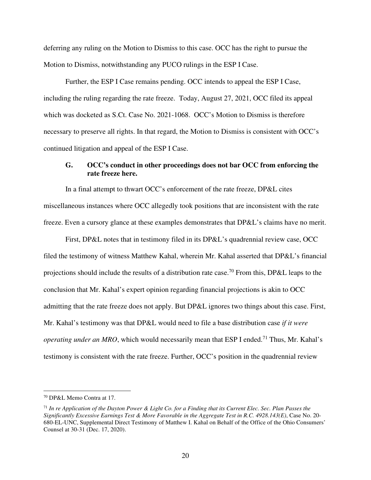deferring any ruling on the Motion to Dismiss to this case. OCC has the right to pursue the Motion to Dismiss, notwithstanding any PUCO rulings in the ESP I Case.

Further, the ESP I Case remains pending. OCC intends to appeal the ESP I Case, including the ruling regarding the rate freeze. Today, August 27, 2021, OCC filed its appeal which was docketed as S.Ct. Case No. 2021-1068. OCC's Motion to Dismiss is therefore necessary to preserve all rights. In that regard, the Motion to Dismiss is consistent with OCC's continued litigation and appeal of the ESP I Case.

### **G. OCC's conduct in other proceedings does not bar OCC from enforcing the rate freeze here.**

In a final attempt to thwart OCC's enforcement of the rate freeze, DP&L cites miscellaneous instances where OCC allegedly took positions that are inconsistent with the rate freeze. Even a cursory glance at these examples demonstrates that DP&L's claims have no merit.

First, DP&L notes that in testimony filed in its DP&L's quadrennial review case, OCC filed the testimony of witness Matthew Kahal, wherein Mr. Kahal asserted that DP&L's financial projections should include the results of a distribution rate case.<sup>70</sup> From this, DP&L leaps to the conclusion that Mr. Kahal's expert opinion regarding financial projections is akin to OCC admitting that the rate freeze does not apply. But DP&L ignores two things about this case. First, Mr. Kahal's testimony was that DP&L would need to file a base distribution case *if it were operating under an MRO*, which would necessarily mean that ESP I ended.<sup>71</sup> Thus, Mr. Kahal's testimony is consistent with the rate freeze. Further, OCC's position in the quadrennial review

<sup>70</sup> DP&L Memo Contra at 17.

<sup>71</sup> *In re Application of the Dayton Power & Light Co. for a Finding that its Current Elec. Sec. Plan Passes the Significantly Excessive Earnings Test & More Favorable in the Aggregate Test in R.C. 4928.143(E)*, Case No. 20- 680-EL-UNC, Supplemental Direct Testimony of Matthew I. Kahal on Behalf of the Office of the Ohio Consumers' Counsel at 30-31 (Dec. 17, 2020).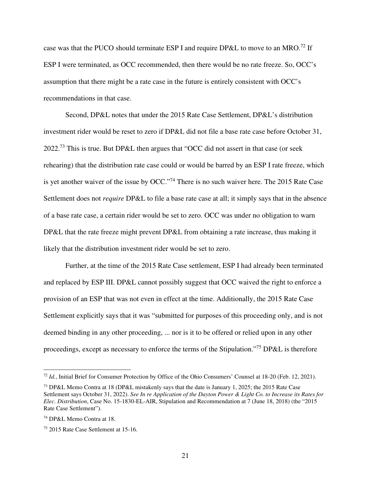case was that the PUCO should terminate ESP I and require DP&L to move to an MRO.<sup>72</sup> If ESP I were terminated, as OCC recommended, then there would be no rate freeze. So, OCC's assumption that there might be a rate case in the future is entirely consistent with OCC's recommendations in that case.

Second, DP&L notes that under the 2015 Rate Case Settlement, DP&L's distribution investment rider would be reset to zero if DP&L did not file a base rate case before October 31,  $2022<sup>73</sup>$  This is true. But DP&L then argues that "OCC did not assert in that case (or seek rehearing) that the distribution rate case could or would be barred by an ESP I rate freeze, which is yet another waiver of the issue by OCC."<sup>74</sup> There is no such waiver here. The 2015 Rate Case Settlement does not *require* DP&L to file a base rate case at all; it simply says that in the absence of a base rate case, a certain rider would be set to zero. OCC was under no obligation to warn DP&L that the rate freeze might prevent DP&L from obtaining a rate increase, thus making it likely that the distribution investment rider would be set to zero.

Further, at the time of the 2015 Rate Case settlement, ESP I had already been terminated and replaced by ESP III. DP&L cannot possibly suggest that OCC waived the right to enforce a provision of an ESP that was not even in effect at the time. Additionally, the 2015 Rate Case Settlement explicitly says that it was "submitted for purposes of this proceeding only, and is not deemed binding in any other proceeding, ... nor is it to be offered or relied upon in any other proceedings, except as necessary to enforce the terms of the Stipulation."<sup>75</sup> DP&L is therefore

<sup>72</sup> *Id.*, Initial Brief for Consumer Protection by Office of the Ohio Consumers' Counsel at 18-20 (Feb. 12, 2021).

<sup>73</sup> DP&L Memo Contra at 18 (DP&L mistakenly says that the date is January 1, 2025; the 2015 Rate Case Settlement says October 31, 2022). *See In re Application of the Dayton Power & Light Co. to Increase its Rates for Elec. Distribution*, Case No. 15-1830-EL-AIR, Stipulation and Recommendation at 7 (June 18, 2018) (the "2015 Rate Case Settlement").

<sup>74</sup> DP&L Memo Contra at 18.

<sup>75</sup> 2015 Rate Case Settlement at 15-16.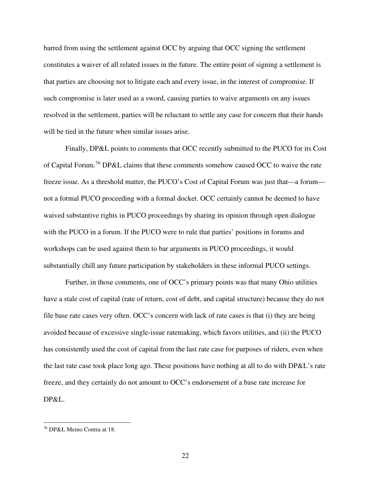barred from using the settlement against OCC by arguing that OCC signing the settlement constitutes a waiver of all related issues in the future. The entire point of signing a settlement is that parties are choosing not to litigate each and every issue, in the interest of compromise. If such compromise is later used as a sword, causing parties to waive arguments on any issues resolved in the settlement, parties will be reluctant to settle any case for concern that their hands will be tied in the future when similar issues arise.

Finally, DP&L points to comments that OCC recently submitted to the PUCO for its Cost of Capital Forum.<sup>76</sup> DP&L claims that these comments somehow caused OCC to waive the rate freeze issue. As a threshold matter, the PUCO's Cost of Capital Forum was just that—a forum not a formal PUCO proceeding with a formal docket. OCC certainly cannot be deemed to have waived substantive rights in PUCO proceedings by sharing its opinion through open dialogue with the PUCO in a forum. If the PUCO were to rule that parties' positions in forums and workshops can be used against them to bar arguments in PUCO proceedings, it would substantially chill any future participation by stakeholders in these informal PUCO settings.

Further, in those comments, one of OCC's primary points was that many Ohio utilities have a stale cost of capital (rate of return, cost of debt, and capital structure) because they do not file base rate cases very often. OCC's concern with lack of rate cases is that (i) they are being avoided because of excessive single-issue ratemaking, which favors utilities, and (ii) the PUCO has consistently used the cost of capital from the last rate case for purposes of riders, even when the last rate case took place long ago. These positions have nothing at all to do with DP&L's rate freeze, and they certainly do not amount to OCC's endorsement of a base rate increase for DP&L.

<sup>76</sup> DP&L Memo Contra at 18.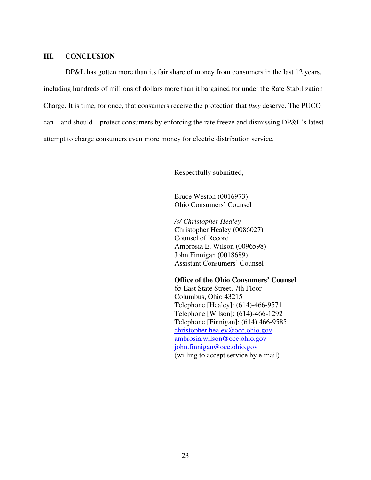#### **III. CONCLUSION**

DP&L has gotten more than its fair share of money from consumers in the last 12 years, including hundreds of millions of dollars more than it bargained for under the Rate Stabilization Charge. It is time, for once, that consumers receive the protection that *they* deserve. The PUCO can—and should—protect consumers by enforcing the rate freeze and dismissing DP&L's latest attempt to charge consumers even more money for electric distribution service.

Respectfully submitted,

Bruce Weston (0016973) Ohio Consumers' Counsel

*/s/ Christopher Healey*  Christopher Healey (0086027) Counsel of Record Ambrosia E. Wilson (0096598) John Finnigan (0018689) Assistant Consumers' Counsel

#### **Office of the Ohio Consumers' Counsel**

 65 East State Street, 7th Floor Columbus, Ohio 43215 Telephone [Healey]: (614)-466-9571 Telephone [Wilson]: (614)-466-1292 Telephone [Finnigan]: (614) 466-9585 christopher.healey@occ.ohio.gov ambrosia.wilson@occ.ohio.gov john.finnigan@occ.ohio.gov (willing to accept service by e-mail)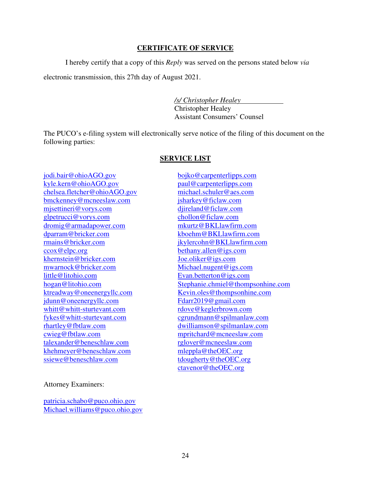## **CERTIFICATE OF SERVICE**

I hereby certify that a copy of this *Reply* was served on the persons stated below *via*

electronic transmission, this 27th day of August 2021.

*/s/ Christopher Healey* 

Christopher Healey Assistant Consumers' Counsel

The PUCO's e-filing system will electronically serve notice of the filing of this document on the following parties:

### **SERVICE LIST**

jodi.bair@ohioAGO.gov kyle.kern@ohioAGO.gov chelsea.fletcher@ohioAGO.gov bmckenney@mcneeslaw.com mjsettineri@vorys.com glpetrucci@vorys.com dromig@armadapower.com dparram@bricker.com rmains@bricker.com ccox@elpc.org khernstein@bricker.com mwarnock@bricker.com little@litohio.com hogan@litohio.com ktreadway@oneenergyllc.com jdunn@oneenergyllc.com whitt@whitt-sturtevant.com fykes@whitt-sturtevant.com rhartley@fbtlaw.com cwieg@fbtlaw.com talexander@beneschlaw.com khehmeyer@beneschlaw.com ssiewe@beneschlaw.com

bojko@carpenterlipps.com paul@carpenterlipps.com michael.schuler@aes.com jsharkey@ficlaw.com djireland@ficlaw.com chollon@ficlaw.com mkurtz@BKLlawfirm.com kboehm@BKLlawfirm.com jkylercohn@BKLlawfirm.com bethany.allen@igs.com Joe.oliker@igs.com Michael.nugent@igs.com Evan.betterton@igs.com Stephanie.chmiel@thompsonhine.com Kevin.oles@thompsonhine.com Fdarr2019@gmail.com rdove@keglerbrown.com cgrundmann@spilmanlaw.com dwilliamson@spilmanlaw.com mpritchard@mcneeslaw.com rglover@mcneeslaw.com mleppla@theOEC.org tdougherty@theOEC.org ctavenor@theOEC.org

### Attorney Examiners:

patricia.schabo@puco.ohio.gov Michael.williams@puco.ohio.gov